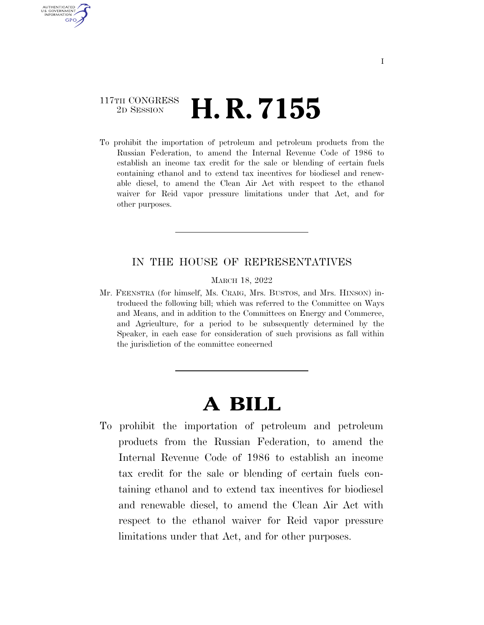### 117TH CONGRESS <sup>2D SESSION</sup> **H. R. 7155**

AUTHENTICATED U.S. GOVERNMENT **GPO** 

> To prohibit the importation of petroleum and petroleum products from the Russian Federation, to amend the Internal Revenue Code of 1986 to establish an income tax credit for the sale or blending of certain fuels containing ethanol and to extend tax incentives for biodiesel and renewable diesel, to amend the Clean Air Act with respect to the ethanol waiver for Reid vapor pressure limitations under that Act, and for other purposes.

#### IN THE HOUSE OF REPRESENTATIVES

MARCH 18, 2022

Mr. FEENSTRA (for himself, Ms. CRAIG, Mrs. BUSTOS, and Mrs. HINSON) introduced the following bill; which was referred to the Committee on Ways and Means, and in addition to the Committees on Energy and Commerce, and Agriculture, for a period to be subsequently determined by the Speaker, in each case for consideration of such provisions as fall within the jurisdiction of the committee concerned

# **A BILL**

To prohibit the importation of petroleum and petroleum products from the Russian Federation, to amend the Internal Revenue Code of 1986 to establish an income tax credit for the sale or blending of certain fuels containing ethanol and to extend tax incentives for biodiesel and renewable diesel, to amend the Clean Air Act with respect to the ethanol waiver for Reid vapor pressure limitations under that Act, and for other purposes.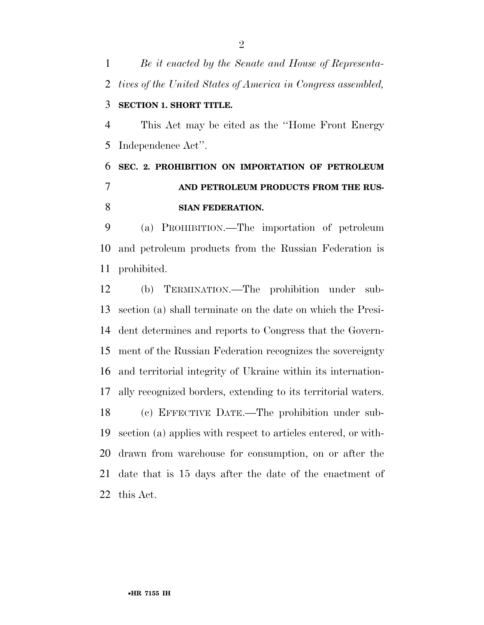*Be it enacted by the Senate and House of Representa- tives of the United States of America in Congress assembled,*  **SECTION 1. SHORT TITLE.** 

 This Act may be cited as the ''Home Front Energy Independence Act''.

## **SEC. 2. PROHIBITION ON IMPORTATION OF PETROLEUM AND PETROLEUM PRODUCTS FROM THE RUS-SIAN FEDERATION.**

 (a) PROHIBITION.—The importation of petroleum and petroleum products from the Russian Federation is prohibited.

 (b) TERMINATION.—The prohibition under sub- section (a) shall terminate on the date on which the Presi- dent determines and reports to Congress that the Govern- ment of the Russian Federation recognizes the sovereignty and territorial integrity of Ukraine within its internation- ally recognized borders, extending to its territorial waters. (c) EFFECTIVE DATE.—The prohibition under sub-section (a) applies with respect to articles entered, or with-

 drawn from warehouse for consumption, on or after the date that is 15 days after the date of the enactment of this Act.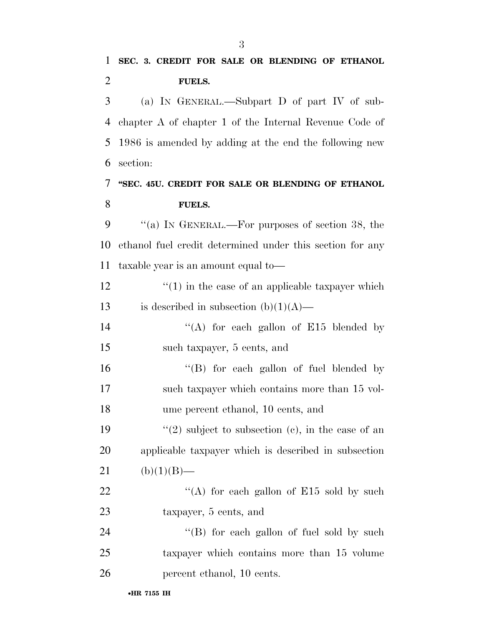(a) IN GENERAL.—Subpart D of part IV of sub- chapter A of chapter 1 of the Internal Revenue Code of 1986 is amended by adding at the end the following new section:

## **''SEC. 45U. CREDIT FOR SALE OR BLENDING OF ETHANOL FUELS.**

 ''(a) IN GENERAL.—For purposes of section 38, the ethanol fuel credit determined under this section for any taxable year is an amount equal to—

12  $\frac{1}{2}$   $\frac{1}{2}$   $\frac{1}{2}$  in the case of an applicable taxpayer which 13 is described in subsection  $(b)(1)(A)$ —

14 "(A) for each gallon of E15 blended by such taxpayer, 5 cents, and

16 ''(B) for each gallon of fuel blended by such taxpayer which contains more than 15 vol-ume percent ethanol, 10 cents, and

19  $\frac{1}{2}$  subject to subsection (c), in the case of an applicable taxpayer which is described in subsection 21 (b)(1)(B)—

22 "(A) for each gallon of E15 sold by such taxpayer, 5 cents, and

24 "(B) for each gallon of fuel sold by such taxpayer which contains more than 15 volume percent ethanol, 10 cents.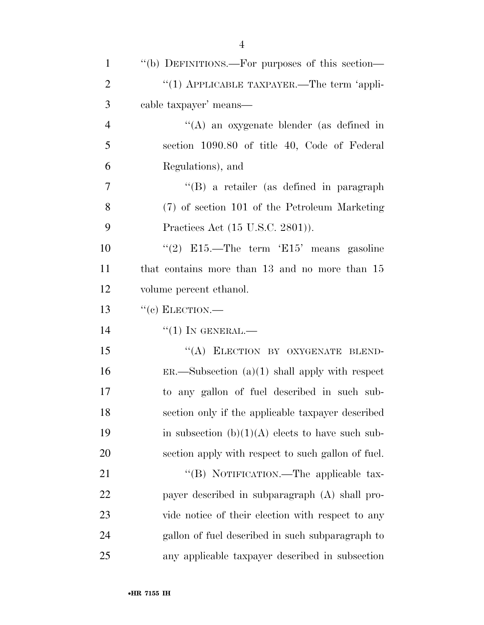| $\mathbf{1}$   | "(b) DEFINITIONS.—For purposes of this section—    |
|----------------|----------------------------------------------------|
| $\overline{2}$ | "(1) APPLICABLE TAXPAYER.—The term 'appli-         |
| 3              | cable taxpayer' means—                             |
| $\overline{4}$ | "(A) an oxygenate blender (as defined in           |
| 5              | section 1090.80 of title 40, Code of Federal       |
| 6              | Regulations), and                                  |
| $\overline{7}$ | "(B) a retailer (as defined in paragraph           |
| 8              | (7) of section 101 of the Petroleum Marketing      |
| 9              | Practices Act (15 U.S.C. 2801)).                   |
| 10             | "(2) E15.—The term 'E15' means gasoline            |
| 11             | that contains more than 13 and no more than 15     |
| 12             | volume percent ethanol.                            |
| 13             | $``$ (c) ELECTION.—                                |
| 14             | $``(1)$ IN GENERAL.—                               |
| 15             | "(A) ELECTION BY OXYGENATE BLEND-                  |
| 16             | $ER.$ Subsection $(a)(1)$ shall apply with respect |
| 17             | to any gallon of fuel described in such sub-       |
| 18             | section only if the applicable taxpayer described  |
| 19             | in subsection $(b)(1)(A)$ elects to have such sub- |
| 20             | section apply with respect to such gallon of fuel. |
| 21             | "(B) NOTIFICATION.—The applicable tax-             |
| 22             | payer described in subparagraph (A) shall pro-     |
| 23             | vide notice of their election with respect to any  |
| 24             | gallon of fuel described in such subparagraph to   |
| 25             | any applicable taxpayer described in subsection    |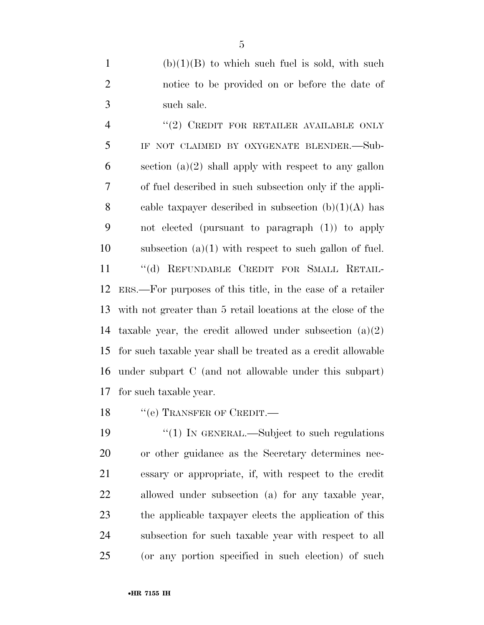(b)(1)(B) to which such fuel is sold, with such notice to be provided on or before the date of such sale.

4 "(2) CREDIT FOR RETAILER AVAILABLE ONLY IF NOT CLAIMED BY OXYGENATE BLENDER.—Sub-6 section  $(a)(2)$  shall apply with respect to any gallon of fuel described in such subsection only if the appli-8 cable taxpayer described in subsection  $(b)(1)(A)$  has not elected (pursuant to paragraph (1)) to apply subsection (a)(1) with respect to such gallon of fuel. ''(d) REFUNDABLE CREDIT FOR SMALL RETAIL- ERS.—For purposes of this title, in the case of a retailer with not greater than 5 retail locations at the close of the 14 taxable year, the credit allowed under subsection  $(a)(2)$  for such taxable year shall be treated as a credit allowable under subpart C (and not allowable under this subpart) for such taxable year.

18 "(e) TRANSFER OF CREDIT.

19 "(1) IN GENERAL.—Subject to such regulations or other guidance as the Secretary determines nec- essary or appropriate, if, with respect to the credit allowed under subsection (a) for any taxable year, the applicable taxpayer elects the application of this subsection for such taxable year with respect to all (or any portion specified in such election) of such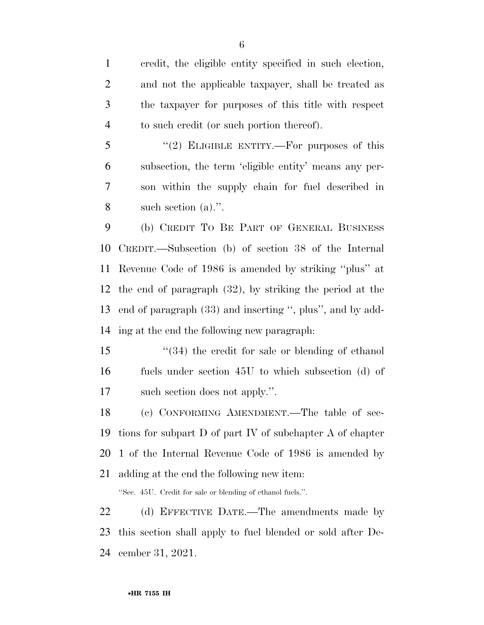credit, the eligible entity specified in such election, and not the applicable taxpayer, shall be treated as the taxpayer for purposes of this title with respect to such credit (or such portion thereof).

5 "(2) ELIGIBLE ENTITY.—For purposes of this subsection, the term 'eligible entity' means any per- son within the supply chain for fuel described in such section (a).''.

 (b) CREDIT TO BE PART OF GENERAL BUSINESS CREDIT.—Subsection (b) of section 38 of the Internal Revenue Code of 1986 is amended by striking ''plus'' at the end of paragraph (32), by striking the period at the end of paragraph (33) and inserting '', plus'', and by add-ing at the end the following new paragraph:

 ''(34) the credit for sale or blending of ethanol fuels under section 45U to which subsection (d) of such section does not apply.''.

 (c) CONFORMING AMENDMENT.—The table of sec- tions for subpart D of part IV of subchapter A of chapter 1 of the Internal Revenue Code of 1986 is amended by adding at the end the following new item:

''Sec. 45U. Credit for sale or blending of ethanol fuels.''.

 (d) EFFECTIVE DATE.—The amendments made by this section shall apply to fuel blended or sold after De-cember 31, 2021.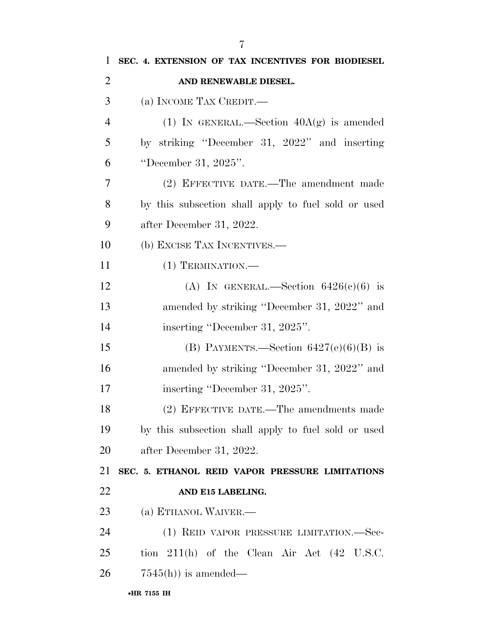| 1              | SEC. 4. EXTENSION OF TAX INCENTIVES FOR BIODIESEL        |
|----------------|----------------------------------------------------------|
| $\overline{2}$ | AND RENEWABLE DIESEL.                                    |
| 3              | (a) INCOME TAX CREDIT.—                                  |
| $\overline{4}$ | (1) IN GENERAL.—Section $40A(g)$ is amended              |
| 5              | by striking "December 31, 2022" and inserting            |
| 6              | "December 31, 2025".                                     |
| 7              | (2) EFFECTIVE DATE.—The amendment made                   |
| 8              | by this subsection shall apply to fuel sold or used      |
| 9              | after December 31, 2022.                                 |
| 10             | (b) EXCISE TAX INCENTIVES.—                              |
| 11             | $(1)$ TERMINATION.—                                      |
| 12             | (A) IN GENERAL.—Section $6426(c)(6)$ is                  |
| 13             | amended by striking "December 31, 2022" and              |
| 14             | inserting "December 31, 2025".                           |
| 15             | (B) PAYMENTS.—Section $6427(e)(6)(B)$ is                 |
| 16             | amended by striking "December 31, 2022" and              |
| 17             | inserting "December 31, 2025".                           |
| 18             | (2) EFFECTIVE DATE.—The amendments made                  |
| 19             | by this subsection shall apply to fuel sold or used      |
| 20             | after December 31, 2022.                                 |
| 21             | SEC. 5. ETHANOL REID VAPOR PRESSURE LIMITATIONS          |
| 22             | AND E15 LABELING.                                        |
| 23             | (a) ETHANOL WAIVER.-                                     |
| 24             | (1) REID VAPOR PRESSURE LIMITATION.—Sec-                 |
| 25             | tion $211(h)$ of the Clean Air Act $(42 \text{ U.S.C.})$ |
| 26             | $7545(h)$ is amended—                                    |
|                | •HR 7155 IH                                              |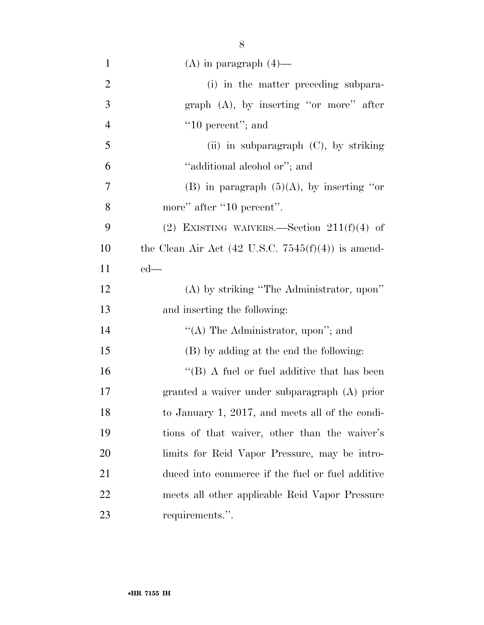| $\mathbf{1}$   | $(A)$ in paragraph $(4)$ —                                    |
|----------------|---------------------------------------------------------------|
| $\overline{2}$ | (i) in the matter preceding subpara-                          |
| 3              | graph $(A)$ , by inserting "or more" after                    |
| $\overline{4}$ | $"10$ percent"; and                                           |
| 5              | (ii) in subparagraph $(C)$ , by striking                      |
| 6              | "additional alcohol or"; and                                  |
| 7              | (B) in paragraph $(5)(A)$ , by inserting "or                  |
| 8              | more" after "10 percent".                                     |
| 9              | (2) EXISTING WAIVERS.—Section $211(f)(4)$ of                  |
| 10             | the Clean Air Act $(42 \text{ U.S.C. } 7545(f)(4))$ is amend- |
| 11             | $ed$ —                                                        |
| 12             | (A) by striking "The Administrator, upon"                     |
| 13             | and inserting the following:                                  |
| 14             | "(A) The Administrator, upon"; and                            |
| 15             | (B) by adding at the end the following:                       |
| 16             | $\lq\lq$ (B) A fuel or fuel additive that has been            |
| 17             | granted a waiver under subparagraph (A) prior                 |
| 18             | to January 1, 2017, and meets all of the condi-               |
| 19             | tions of that waiver, other than the waiver's                 |
| 20             | limits for Reid Vapor Pressure, may be intro-                 |
| 21             | duced into commerce if the fuel or fuel additive              |
| 22             | meets all other applicable Reid Vapor Pressure                |
| 23             | requirements.".                                               |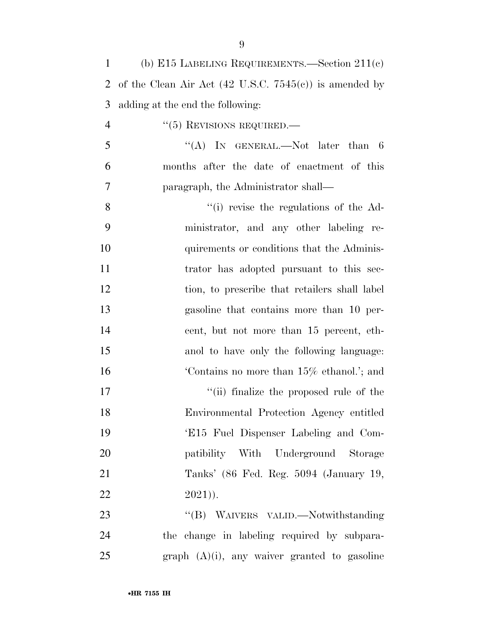| $\mathbf{1}$   | (b) E15 LABELING REQUIREMENTS. Section $211(c)$                   |
|----------------|-------------------------------------------------------------------|
| 2              | of the Clean Air Act $(42 \text{ U.S.C. } 7545(c))$ is amended by |
| 3              | adding at the end the following:                                  |
| $\overline{4}$ | $``(5)$ REVISIONS REQUIRED.—                                      |
| 5              | "(A) IN GENERAL.—Not later than $6$                               |
| 6              | months after the date of enactment of this                        |
| 7              | paragraph, the Administrator shall—                               |
| 8              | "(i) revise the regulations of the Ad-                            |
| 9              | ministrator, and any other labeling re-                           |
| 10             | quirements or conditions that the Adminis-                        |
| 11             | trator has adopted pursuant to this sec-                          |
| 12             | tion, to prescribe that retailers shall label                     |
| 13             | gasoline that contains more than 10 per-                          |
| 14             | cent, but not more than 15 percent, eth-                          |
| 15             | and to have only the following language:                          |
| 16             | Contains no more than 15% ethanol.'; and                          |
| 17             | "(ii) finalize the proposed rule of the                           |
| 18             | Environmental Protection Agency entitled                          |
| 19             | 'E15 Fuel Dispenser Labeling and Com-                             |
| 20             | patibility With Underground Storage                               |
| 21             | Tanks' (86 Fed. Reg. 5094 (January 19,                            |
| 22             | $2021)$ ).                                                        |
| 23             | "(B) WAIVERS VALID.—Notwithstanding                               |
| 24             | the change in labeling required by subpara-                       |
| 25             | graph $(A)(i)$ , any waiver granted to gasoline                   |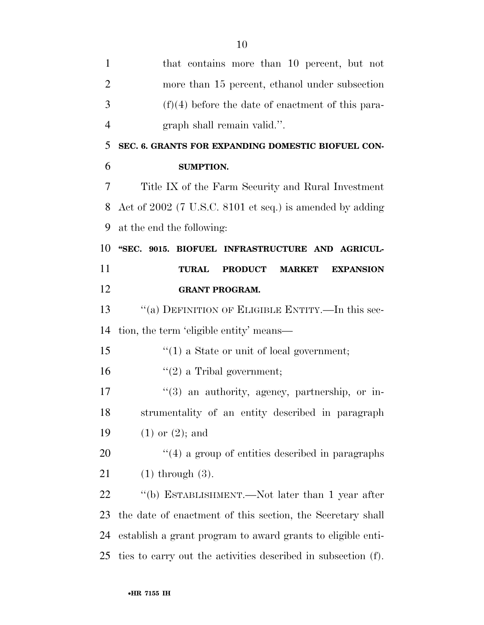|                | ΠU                                                                  |
|----------------|---------------------------------------------------------------------|
| 1              | that contains more than 10 percent, but not                         |
| $\overline{2}$ | more than 15 percent, ethanol under subsection                      |
| 3              | $(f)(4)$ before the date of enactment of this para-                 |
| $\overline{4}$ | graph shall remain valid.".                                         |
| 5              | SEC. 6. GRANTS FOR EXPANDING DOMESTIC BIOFUEL CON-                  |
| 6              | <b>SUMPTION.</b>                                                    |
| 7              | Title IX of the Farm Security and Rural Investment                  |
| 8              | Act of 2002 (7 U.S.C. 8101 et seq.) is amended by adding            |
| 9              | at the end the following:                                           |
| 10             | "SEC. 9015. BIOFUEL INFRASTRUCTURE AND AGRICUL-                     |
| 11             | <b>PRODUCT</b><br><b>TURAL</b><br><b>MARKET</b><br><b>EXPANSION</b> |
| 12             | <b>GRANT PROGRAM.</b>                                               |
| 13             | "(a) DEFINITION OF ELIGIBLE ENTITY.—In this sec-                    |
| 14             | tion, the term 'eligible entity' means—                             |
| 15             | $\cdot\cdot\cdot(1)$ a State or unit of local government;           |
| 16             | $f'(2)$ a Tribal government;                                        |
| 17             | $\lq(3)$ an authority, agency, partnership, or in-                  |
| 18             | strumentality of an entity described in paragraph                   |
| 19             | $(1)$ or $(2)$ ; and                                                |
| 20             | $\cdot$ (4) a group of entities described in paragraphs             |
| 21             | $(1)$ through $(3)$ .                                               |
| 22             | "(b) ESTABLISHMENT.—Not later than 1 year after                     |
| 23             | the date of enactment of this section, the Secretary shall          |
| 24             | establish a grant program to award grants to eligible enti-         |
| 25             | ties to carry out the activities described in subsection (f).       |
|                |                                                                     |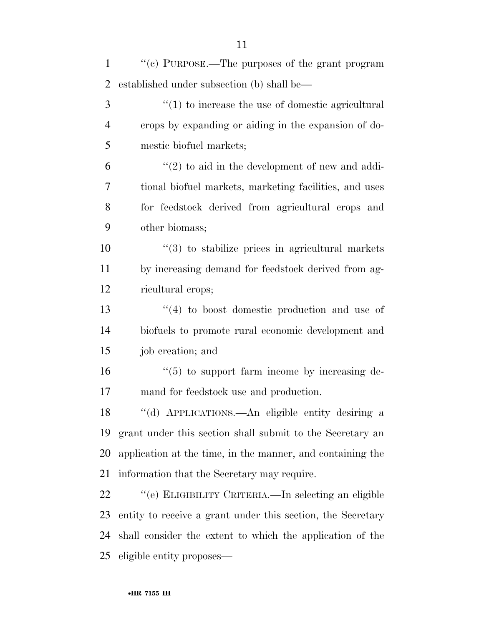| $\mathbf{1}$ | "(c) PURPOSE.—The purposes of the grant program             |
|--------------|-------------------------------------------------------------|
| 2            | established under subsection (b) shall be—                  |
| 3            | $\lq(1)$ to increase the use of domestic agricultural       |
| 4            | crops by expanding or aiding in the expansion of do-        |
| 5            | mestic biofuel markets;                                     |
| 6            | $\lq(2)$ to aid in the development of new and addi-         |
| 7            | tional biofuel markets, marketing facilities, and uses      |
| 8            | for feedstock derived from agricultural crops and           |
| 9            | other biomass;                                              |
| 10           | $\cdot$ (3) to stabilize prices in agricultural markets     |
| 11           | by increasing demand for feedstock derived from ag-         |
| 12           | ricultural crops;                                           |
| 13           | $\cdot$ (4) to boost domestic production and use of         |
| 14           | biofuels to promote rural economic development and          |
| 15           | job creation; and                                           |
| 16           | $\cdot\cdot$ (5) to support farm income by increasing de-   |
| 17           | mand for feedstock use and production.                      |
| 18           | "(d) APPLICATIONS.—An eligible entity desiring a            |
| 19           | grant under this section shall submit to the Secretary an   |
| 20           | application at the time, in the manner, and containing the  |
| 21           | information that the Secretary may require.                 |
| 22           | "(e) ELIGIBILITY CRITERIA.—In selecting an eligible         |
| 23           | entity to receive a grant under this section, the Secretary |
| 24           | shall consider the extent to which the application of the   |
| 25           | eligible entity proposes—                                   |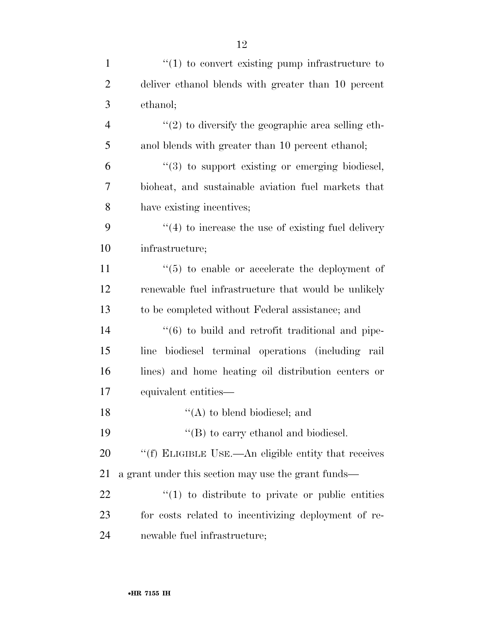| $\mathbf{1}$   | $\cdot\cdot\cdot(1)$ to convert existing pump infrastructure to |
|----------------|-----------------------------------------------------------------|
| $\overline{2}$ | deliver ethanol blends with greater than 10 percent             |
| 3              | ethanol;                                                        |
| $\overline{4}$ | $\lq(2)$ to diversify the geographic area selling eth-          |
| 5              | anol blends with greater than 10 percent ethanol;               |
| 6              | $\cdot\cdot\cdot(3)$ to support existing or emerging biodiesel, |
| $\overline{7}$ | bioheat, and sustainable aviation fuel markets that             |
| 8              | have existing incentives;                                       |
| 9              | $\cdot$ (4) to increase the use of existing fuel delivery       |
| 10             | infrastructure;                                                 |
| 11             | $\cdot\cdot$ (5) to enable or accelerate the deployment of      |
| 12             | renewable fuel infrastructure that would be unlikely            |
| 13             | to be completed without Federal assistance; and                 |
| 14             | "(6) to build and retrofit traditional and pipe-                |
| 15             | biodiesel terminal operations (including rail<br>line           |
| 16             | lines) and home heating oil distribution centers or             |
| 17             | equivalent entities—                                            |
| 18             | $\lq\lq$ (A) to blend biodiesel; and                            |
| 19             | $\lq\lq$ to carry ethanol and biodiesel.                        |
| 20             | "(f) ELIGIBLE USE.—An eligible entity that receives             |
| 21             | a grant under this section may use the grant funds—             |
| 22             | $\cdot$ (1) to distribute to private or public entities         |
| 23             | for costs related to incentivizing deployment of re-            |
| 24             | newable fuel infrastructure;                                    |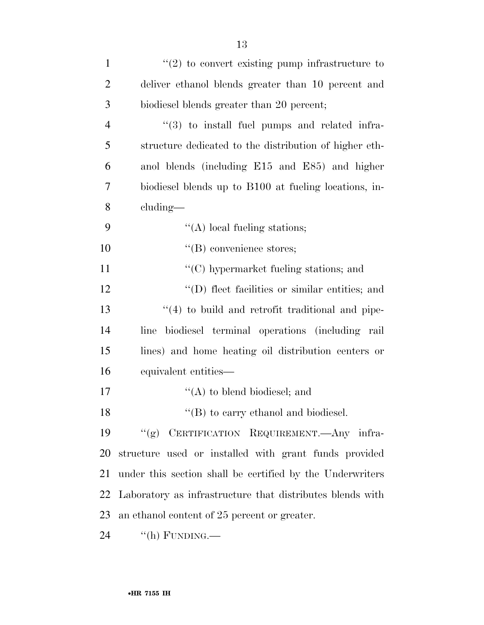| $\mathbf{1}$   | $\lq(2)$ to convert existing pump infrastructure to       |
|----------------|-----------------------------------------------------------|
| $\overline{2}$ | deliver ethanol blends greater than 10 percent and        |
| 3              | biodiesel blends greater than 20 percent;                 |
| $\overline{4}$ | $\lq(3)$ to install fuel pumps and related infra-         |
| 5              | structure dedicated to the distribution of higher eth-    |
| 6              | anol blends (including E15 and E85) and higher            |
| 7              | biodiesel blends up to B100 at fueling locations, in-     |
| 8              | cluding—                                                  |
| 9              | $\lq\lq$ local fueling stations;                          |
| 10             | $\lq\lq$ convenience stores;                              |
| 11             | $\lq\lq$ (C) hypermarket fueling stations; and            |
| 12             | "(D) fleet facilities or similar entities; and            |
| 13             | $\lq(4)$ to build and retrofit traditional and pipe-      |
| 14             | biodiesel terminal operations (including rail<br>line     |
| 15             | lines) and home heating oil distribution centers or       |
| 16             | equivalent entities-                                      |
| 17             | $\lq\lq$ to blend biodiesel; and                          |
| 18             | $\lq\lq$ (B) to carry ethanol and biodiesel.              |
| 19             | (6)<br>CERTIFICATION REQUIREMENT. Any infra-              |
| 20             | structure used or installed with grant funds provided     |
| 21             | under this section shall be certified by the Underwriters |
| 22             | Laboratory as infrastructure that distributes blends with |
| 23             | an ethanol content of 25 percent or greater.              |
| 24             | "(h) FUNDING.—                                            |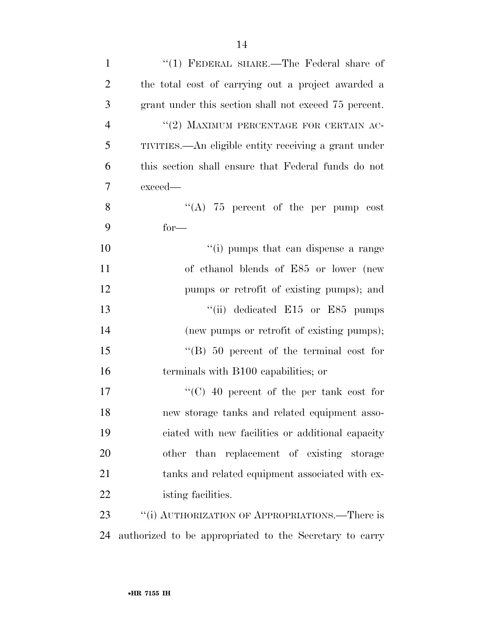| $\mathbf{1}$   | "(1) FEDERAL SHARE.—The Federal share of                |
|----------------|---------------------------------------------------------|
| $\overline{2}$ | the total cost of carrying out a project awarded a      |
| 3              | grant under this section shall not exceed 75 percent.   |
| $\overline{4}$ | "(2) MAXIMUM PERCENTAGE FOR CERTAIN AC-                 |
| 5              | TIVITIES.—An eligible entity receiving a grant under    |
| 6              | this section shall ensure that Federal funds do not     |
| 7              | exceed—                                                 |
| 8              | "(A) $75$ percent of the per pump cost                  |
| 9              | $for-$                                                  |
| 10             | "(i) pumps that can dispense a range                    |
| 11             | of ethanol blends of E85 or lower (new                  |
| 12             | pumps or retrofit of existing pumps); and               |
| 13             | "(ii) dedicated $E15$ or $E85$ pumps                    |
| 14             | (new pumps or retrofit of existing pumps);              |
| 15             | $\cdot$ (B) 50 percent of the terminal cost for         |
| 16             | terminals with B100 capabilities; or                    |
| 17             | "(C) $40$ percent of the per tank cost for              |
| 18             | new storage tanks and related equipment asso-           |
| 19             | ciated with new facilities or additional capacity       |
| 20             | other than replacement of existing storage              |
| 21             | tanks and related equipment associated with ex-         |
| 22             | isting facilities.                                      |
| 23             | "(i) AUTHORIZATION OF APPROPRIATIONS.—There is          |
| 24             | authorized to be appropriated to the Secretary to carry |